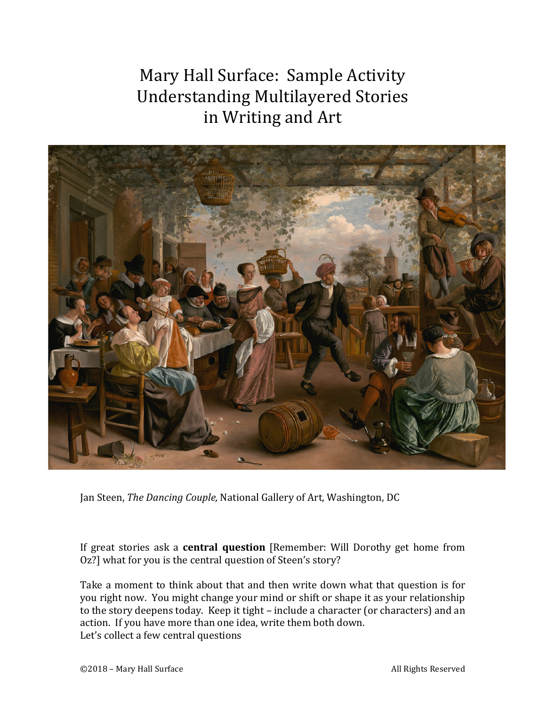Mary Hall Surface: Sample Activity Understanding Multilayered Stories in Writing and Art



Jan Steen, *The Dancing Couple*, National Gallery of Art, Washington, DC

If great stories ask a **central question** [Remember: Will Dorothy get home from Oz?] what for you is the central question of Steen's story?

Take a moment to think about that and then write down what that question is for you right now. You might change your mind or shift or shape it as your relationship to the story deepens today. Keep it tight – include a character (or characters) and an action. If you have more than one idea, write them both down. Let's collect a few central questions